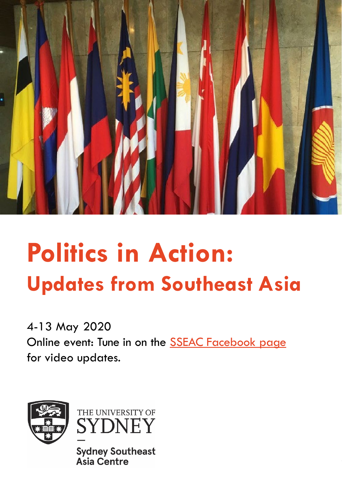

# **Politics in Action: Updates from Southeast Asia**

4-13 May 2020 Online event: Tune in on the [SSEAC Facebook page](https://www.facebook.com/sydneysoutheastasiacentre/)  for video updates.





**Sydney Southeast Asia Centre**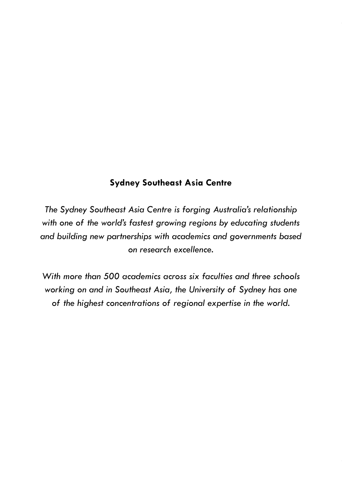#### **Sydney Southeast Asia Centre**

*The Sydney Southeast Asia Centre is forging Australia's relationship with one of the world's fastest growing regions by educating students and building new partnerships with academics and governments based on research excellence.* 

*With more than 500 academics across six faculties and three schools working on and in Southeast Asia, the University of Sydney has one of the highest concentrations of regional expertise in the world.*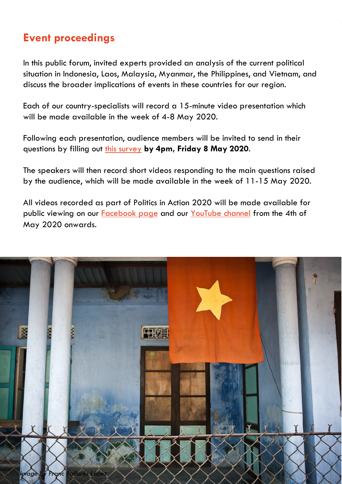## **Event proceedings**

In this public forum, invited experts provided an analysis of the current political situation in Indonesia, Laos, Malaysia, Myanmar, the Philippines, and Vietnam, and discuss the broader implications of events in these countries for our region.

Each of our country-specialists will record a 15-minute video presentation which will be made available in the week of 4-8 May 2020.

Following each presentation, audience members will be invited to send in their questions by filling out [this survey](https://www.surveymonkey.com/r/KH5H7FK) **by 4pm, Friday 8 May 2020**.

The speakers will then record short videos responding to the main questions raised by the audience, which will be made available in the week of 11-15 May 2020.

All videos recorded as part of Politics in Action 2020 will be made available for public viewing on our **[Facebook page](https://www.facebook.com/sydneysoutheastasiacentre/)** and our [YouTube channel](https://www.youtube.com/channel/UC8Ywbmz8Yq-bKtJR7KdNjkw?view_as=subscriber) from the 4th of May 2020 onwards.

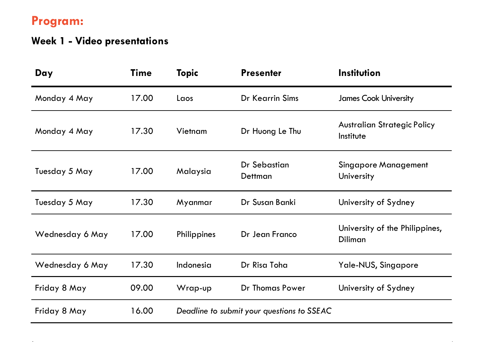# **Program:**

# **Week 1 - Video presentations**

| Day             | <b>Time</b> | <b>Topic</b>                               | <b>Presenter</b>        | <b>Institution</b>                               |  |
|-----------------|-------------|--------------------------------------------|-------------------------|--------------------------------------------------|--|
| Monday 4 May    | 17.00       | Laos                                       | Dr Kearrin Sims         | <b>James Cook University</b>                     |  |
| Monday 4 May    | 17.30       | Vietnam                                    | Dr Huong Le Thu         | <b>Australian Strategic Policy</b><br>Institute  |  |
| Tuesday 5 May   | 17.00       | Malaysia                                   | Dr Sebastian<br>Dettman | <b>Singapore Management</b><br>University        |  |
| Tuesday 5 May   | 17.30       | Myanmar                                    | Dr Susan Banki          | University of Sydney                             |  |
| Wednesday 6 May | 17.00       | Philippines                                | Dr Jean Franco          | University of the Philippines,<br><b>Diliman</b> |  |
| Wednesday 6 May | 17.30       | Indonesia                                  | Dr Risa Toha            | Yale-NUS, Singapore                              |  |
| Friday 8 May    | 09.00       | Wrap-up                                    | Dr Thomas Power         | University of Sydney                             |  |
| Friday 8 May    | 16.00       | Deadline to submit your questions to SSEAC |                         |                                                  |  |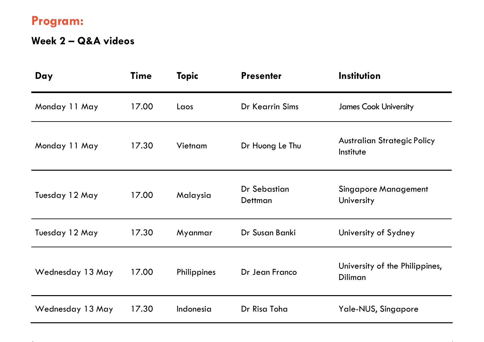# **Program:**

# **Week 2 – Q&A videos**

| Day              | <b>Time</b> | <b>Topic</b> | <b>Presenter</b>        | Institution                                     |
|------------------|-------------|--------------|-------------------------|-------------------------------------------------|
| Monday 11 May    | 17.00       | Laos         | Dr Kearrin Sims         | <b>James Cook University</b>                    |
| Monday 11 May    | 17.30       | Vietnam      | Dr Huong Le Thu         | <b>Australian Strategic Policy</b><br>Institute |
| Tuesday 12 May   | 17.00       | Malaysia     | Dr Sebastian<br>Dettman | <b>Singapore Management</b><br>University       |
| Tuesday 12 May   | 17.30       | Myanmar      | Dr Susan Banki          | University of Sydney                            |
| Wednesday 13 May | 17.00       | Philippines  | Dr Jean Franco          | University of the Philippines,<br>Diliman       |
| Wednesday 13 May | 17.30       | Indonesia    | Dr Risa Toha            | Yale-NUS, Singapore                             |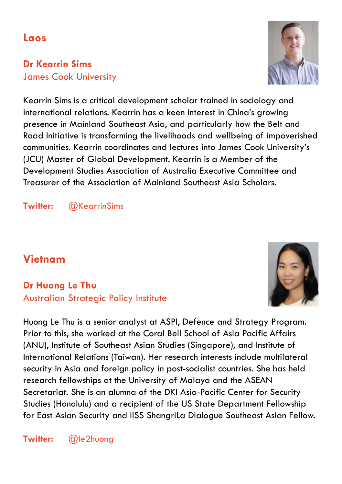## **Laos**

#### **Dr Kearrin Sims** James Cook University



Kearrin Sims is a critical development scholar trained in sociology and international relations. Kearrin has a keen interest in China's growing presence in Mainland Southeast Asia, and particularly how the Belt and Road Initiative is transforming the livelihoods and wellbeing of impoverished communities. Kearrin coordinates and lectures into James Cook University's (JCU) Master of Global Development. Kearrin is a Member of the Development Studies Association of Australia Executive Committee and Treasurer of the Association of Mainland Southeast Asia Scholars.

**Twitter:** @KearrinSims

## **Vietnam**

### **Dr Huong Le Thu** Australian Strategic Policy Institute



Huong Le Thu is a senior analyst at ASPI, Defence and Strategy Program. Prior to this, she worked at the Coral Bell School of Asia Pacific Affairs (ANU), Institute of Southeast Asian Studies (Singapore), and Institute of International Relations (Taiwan). Her research interests include multilateral security in Asia and foreign policy in post-socialist countries. She has held research fellowships at the University of Malaya and the ASEAN Secretariat. She is an alumna of the DKI Asia-Pacific Center for Security Studies (Honolulu) and a recipient of the US State Department Fellowship for East Asian Security and IISS ShangriLa Dialogue Southeast Asian Fellow.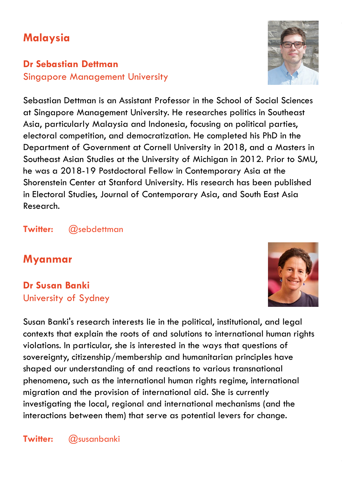## **Malaysia**

#### **Dr Sebastian Dettman** Singapore Management University

Sebastian Dettman is an Assistant Professor in the School of Social Sciences at Singapore Management University. He researches politics in Southeast Asia, particularly Malaysia and Indonesia, focusing on political parties, electoral competition, and democratization. He completed his PhD in the Department of Government at Cornell University in 2018, and a Masters in Southeast Asian Studies at the University of Michigan in 2012. Prior to SMU, he was a 2018-19 Postdoctoral Fellow in Contemporary Asia at the Shorenstein Center at Stanford University. His research has been published in Electoral Studies, Journal of Contemporary Asia, and South East Asia Research.

**Twitter:** @sebdettman

## **Myanmar**

**Dr Susan Banki** University of Sydney

Susan Banki's research interests lie in the political, institutional, and legal contexts that explain the roots of and solutions to international human rights violations. In particular, she is interested in the ways that questions of sovereignty, citizenship/membership and humanitarian principles have shaped our understanding of and reactions to various transnational phenomena, such as the international human rights regime, international migration and the provision of international aid. She is currently investigating the local, regional and international mechanisms (and the interactions between them) that serve as potential levers for change.



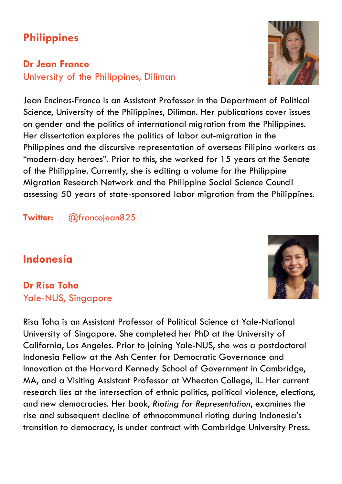## **Philippines**

## **Dr Jean Franco**

University of the Philippines, Diliman

Jean Encinas-Franco is an Assistant Professor in the Department of Political Science, University of the Philippines, Diliman. Her publications cover issues on gender and the politics of international migration from the Philippines. Her dissertation explores the politics of labor out-migration in the Philippines and the discursive representation of overseas Filipino workers as "modern-day heroes". Prior to this, she worked for 15 years at the Senate of the Philippine. Currently, she is editing a volume for the Philippine Migration Research Network and the Philippine Social Science Council assessing 50 years of state-sponsored labor migration from the Philippines.

#### **Twitter:** @francojean825

## **Indonesia**

**Dr Risa Toha** Yale-NUS, Singapore

Risa Toha is an Assistant Professor of Political Science at Yale-National University of Singapore. She completed her PhD at the University of California, Los Angeles. Prior to joining Yale-NUS, she was a postdoctoral Indonesia Fellow at the Ash Center for Democratic Governance and Innovation at the Harvard Kennedy School of Government in Cambridge, MA, and a Visiting Assistant Professor at Wheaton College, IL. Her current research lies at the intersection of ethnic politics, political violence, elections, and new democracies. Her book, *Rioting for Representation*, examines the rise and subsequent decline of ethnocommunal rioting during Indonesia's transition to democracy, is under contract with Cambridge University Press.



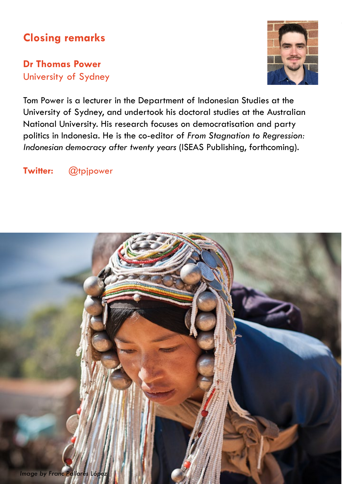## **Closing remarks**

#### **Dr Thomas Power** University of Sydney



Tom Power is a lecturer in the Department of Indonesian Studies at the University of Sydney, and undertook his doctoral studies at the Australian National University. His research focuses on democratisation and party politics in Indonesia. He is the co-editor of *From Stagnation to Regression: Indonesian democracy after twenty years* (ISEAS Publishing, forthcoming).

#### **Twitter:** @tpjpower